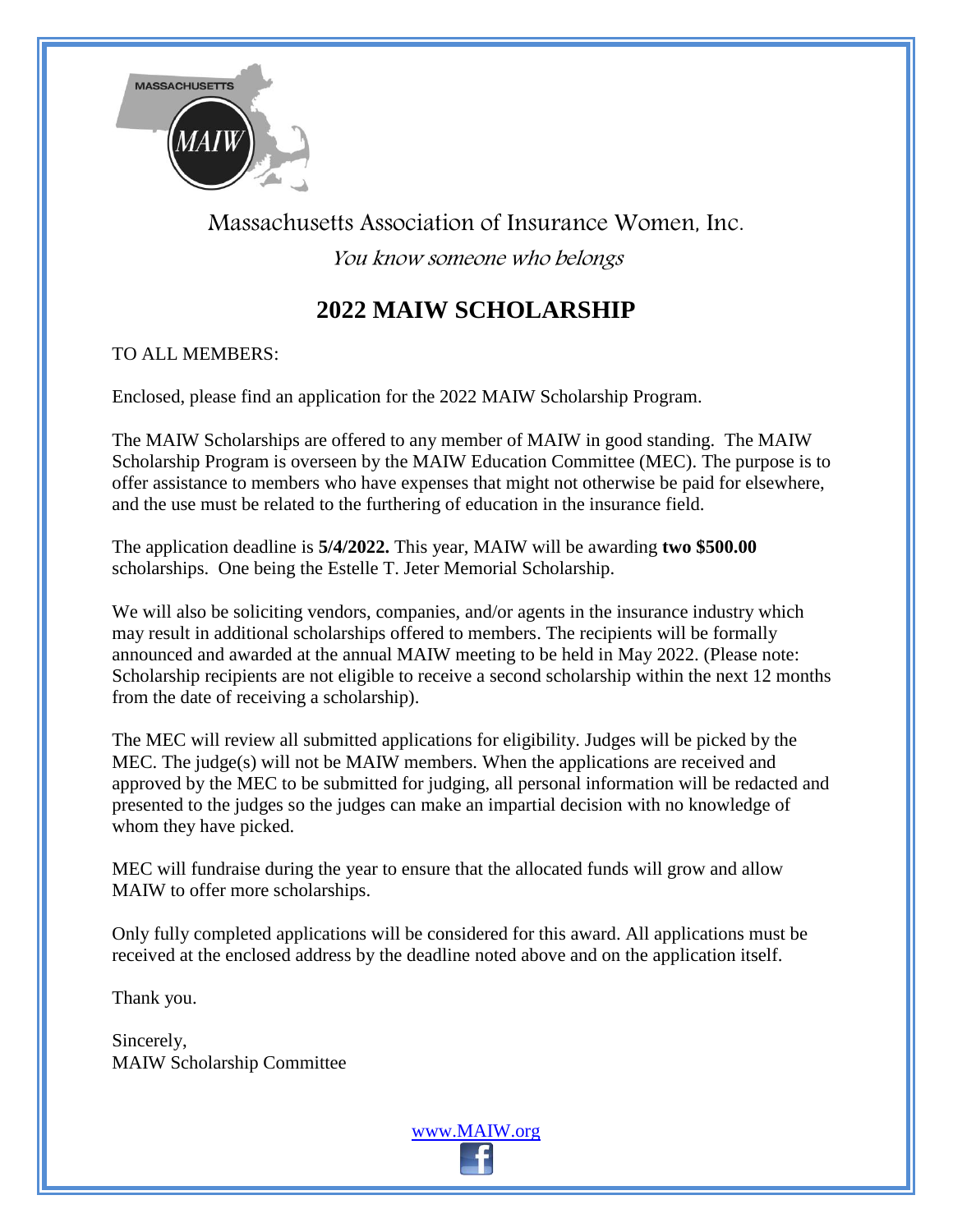

## Massachusetts Association of Insurance Women, Inc. You know someone who belongs

## **2022 MAIW SCHOLARSHIP**

TO ALL MEMBERS:

Enclosed, please find an application for the 2022 MAIW Scholarship Program.

The MAIW Scholarships are offered to any member of MAIW in good standing. The MAIW Scholarship Program is overseen by the MAIW Education Committee (MEC). The purpose is to offer assistance to members who have expenses that might not otherwise be paid for elsewhere, and the use must be related to the furthering of education in the insurance field.

The application deadline is **5/4/2022.** This year, MAIW will be awarding **two \$500.00** scholarships. One being the Estelle T. Jeter Memorial Scholarship.

We will also be soliciting vendors, companies, and/or agents in the insurance industry which may result in additional scholarships offered to members. The recipients will be formally announced and awarded at the annual MAIW meeting to be held in May 2022. (Please note: Scholarship recipients are not eligible to receive a second scholarship within the next 12 months from the date of receiving a scholarship).

The MEC will review all submitted applications for eligibility. Judges will be picked by the MEC. The judge(s) will not be MAIW members. When the applications are received and approved by the MEC to be submitted for judging, all personal information will be redacted and presented to the judges so the judges can make an impartial decision with no knowledge of whom they have picked.

MEC will fundraise during the year to ensure that the allocated funds will grow and allow MAIW to offer more scholarships.

Only fully completed applications will be considered for this award. All applications must be received at the enclosed address by the deadline noted above and on the application itself.

Thank you.

Sincerely, MAIW Scholarship Committee

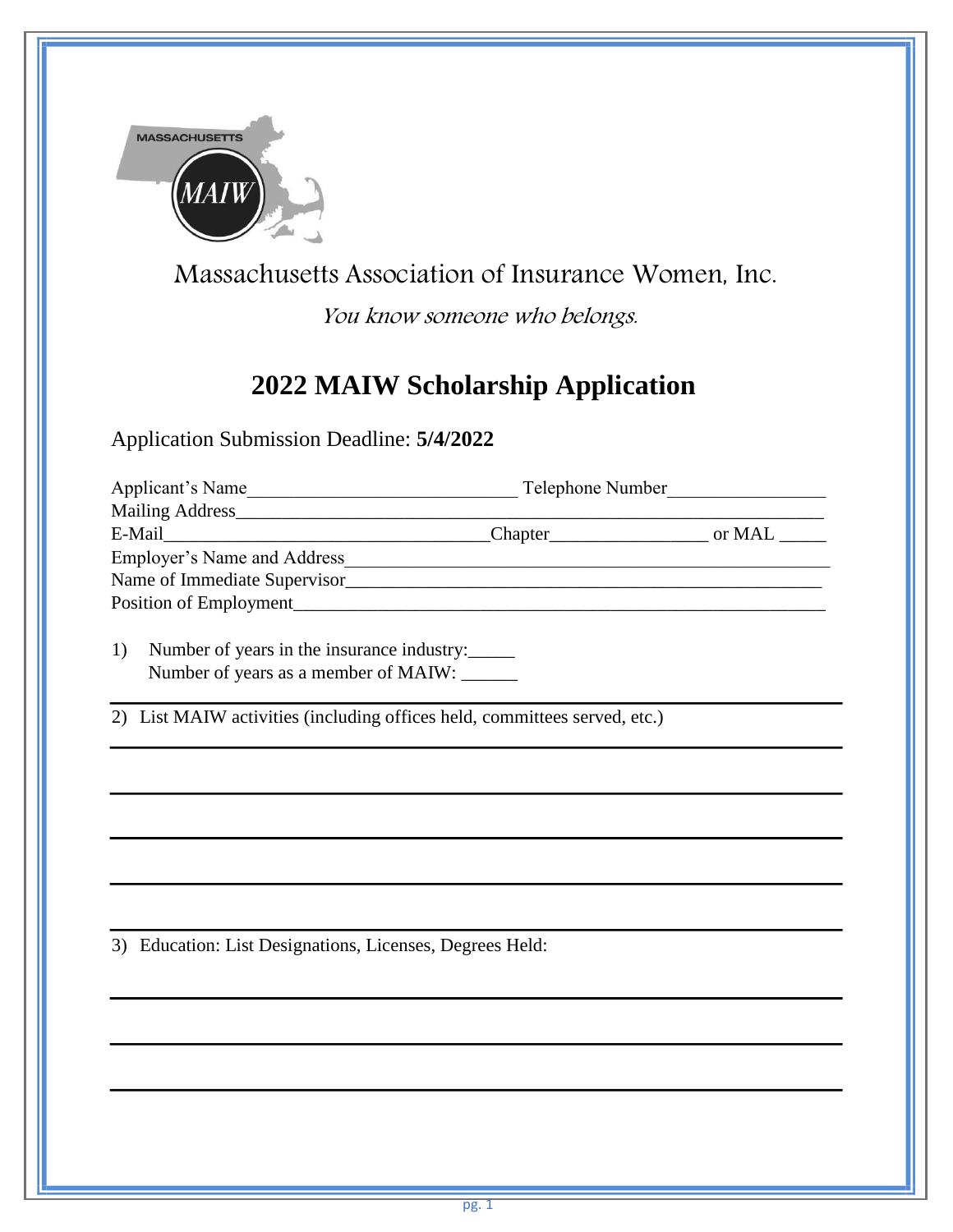

Massachusetts Association of Insurance Women, Inc.

You know someone who belongs.

## **2022 MAIW Scholarship Application**

Application Submission Deadline: **5/4/2022**

|                                                                           | Applicant's Name                                                                   | Telephone Number |  |
|---------------------------------------------------------------------------|------------------------------------------------------------------------------------|------------------|--|
|                                                                           |                                                                                    |                  |  |
|                                                                           |                                                                                    |                  |  |
|                                                                           |                                                                                    |                  |  |
|                                                                           | Name of Immediate Supervisor                                                       |                  |  |
|                                                                           |                                                                                    |                  |  |
| 1)                                                                        | Number of years in the insurance industry:<br>Number of years as a member of MAIW: |                  |  |
| 2) List MAIW activities (including offices held, committees served, etc.) |                                                                                    |                  |  |
|                                                                           |                                                                                    |                  |  |
|                                                                           |                                                                                    |                  |  |
|                                                                           |                                                                                    |                  |  |

3) Education: List Designations, Licenses, Degrees Held: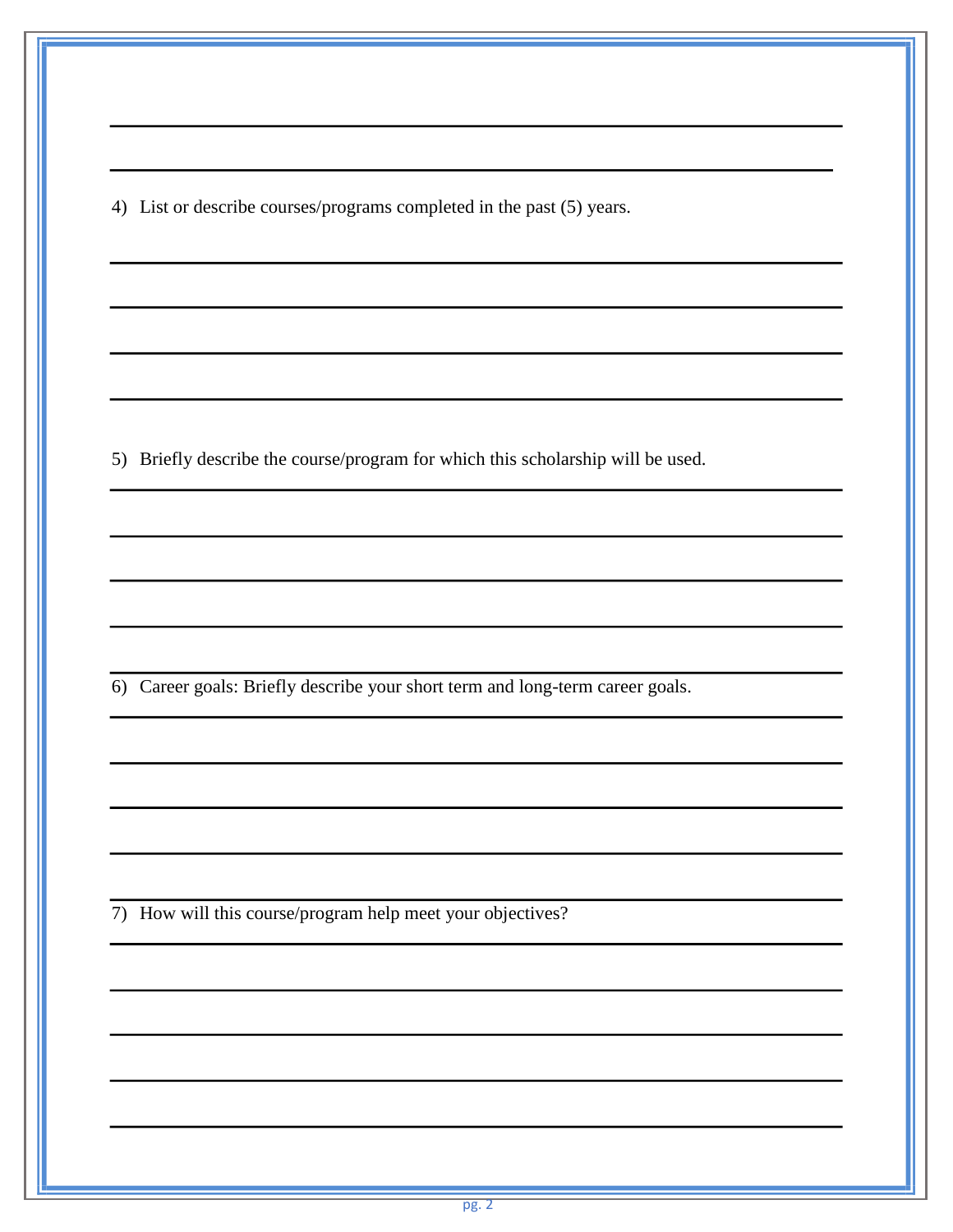4) List or describe courses/programs completed in the past (5) years.

5) Briefly describe the course/program for which this scholarship will be used.

6) Career goals: Briefly describe your short term and long-term career goals.

7) How will this course/program help meet your objectives?